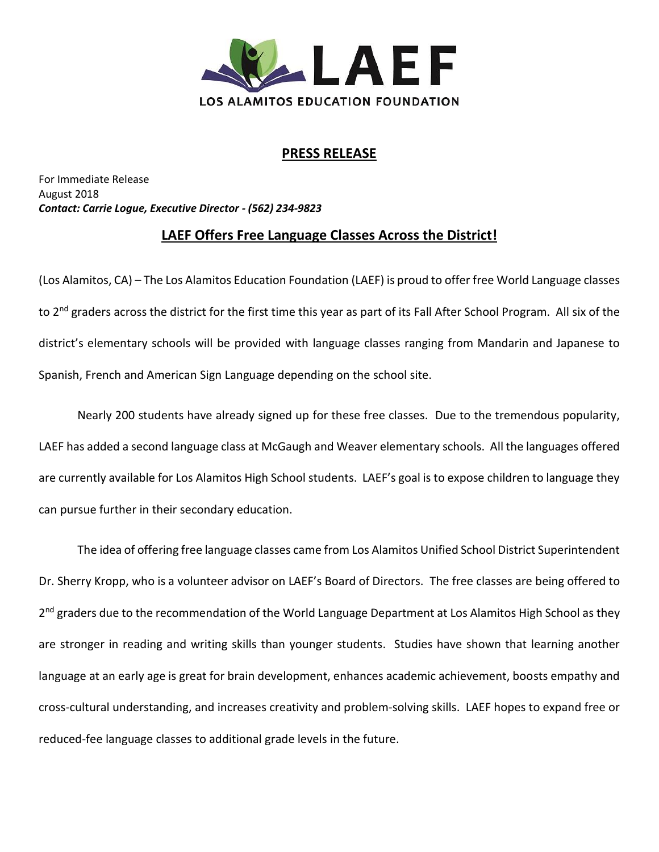

## **PRESS RELEASE**

For Immediate Release August 2018 *Contact: Carrie Logue, Executive Director - (562) 234-9823*

## **LAEF Offers Free Language Classes Across the District!**

(Los Alamitos, CA) – The Los Alamitos Education Foundation (LAEF) is proud to offer free World Language classes to 2<sup>nd</sup> graders across the district for the first time this year as part of its Fall After School Program. All six of the district's elementary schools will be provided with language classes ranging from Mandarin and Japanese to Spanish, French and American Sign Language depending on the school site.

Nearly 200 students have already signed up for these free classes. Due to the tremendous popularity, LAEF has added a second language class at McGaugh and Weaver elementary schools. All the languages offered are currently available for Los Alamitos High School students. LAEF's goal is to expose children to language they can pursue further in their secondary education.

The idea of offering free language classes came from Los Alamitos Unified School District Superintendent Dr. Sherry Kropp, who is a volunteer advisor on LAEF's Board of Directors. The free classes are being offered to 2<sup>nd</sup> graders due to the recommendation of the World Language Department at Los Alamitos High School as they are stronger in reading and writing skills than younger students. Studies have shown that learning another language at an early age is great for brain development, enhances academic achievement, boosts empathy and cross-cultural understanding, and increases creativity and problem-solving skills. LAEF hopes to expand free or reduced-fee language classes to additional grade levels in the future.